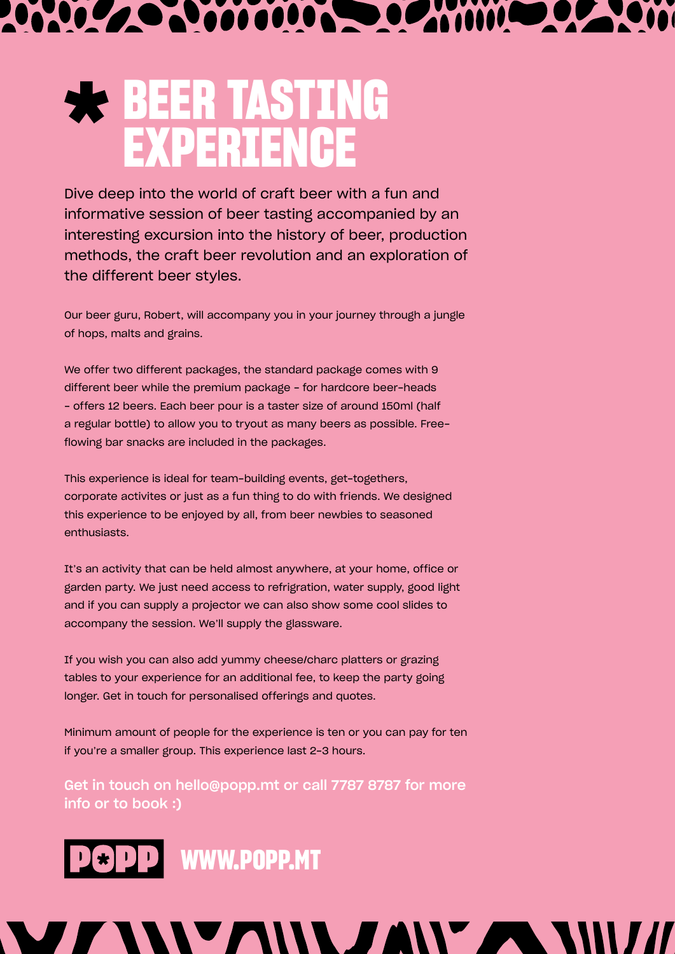## 

## **BEER TASTING EXPERIENCE**

Dive deep into the world of craft beer with a fun and informative session of beer tasting accompanied by an interesting excursion into the history of beer, production methods, the craft beer revolution and an exploration of the different beer styles.

Our beer guru, Robert, will accompany you in your journey through a jungle of hops, malts and grains.

We offer two different packages, the standard package comes with 9 different beer while the premium package - for hardcore beer-heads - offers 12 beers. Each beer pour is a taster size of around 150ml (half a regular bottle) to allow you to tryout as many beers as possible. Freeflowing bar snacks are included in the packages.

This experience is ideal for team-building events, get-togethers, corporate activites or just as a fun thing to do with friends. We designed this experience to be enjoyed by all, from beer newbies to seasoned enthusiasts.

It's an activity that can be held almost anywhere, at your home, office or garden party. We just need access to refrigration, water supply, good light and if you can supply a projector we can also show some cool slides to accompany the session. We'll supply the glassware.

If you wish you can also add yummy cheese/charc platters or grazing tables to your experience for an additional fee, to keep the party going longer. Get in touch for personalised offerings and quotes.

Minimum amount of people for the experience is ten or you can pay for ten if you're a smaller group. This experience last 2-3 hours.

Get in touch on hello@popp.mt or call 7787 8787 for more info or to book :)